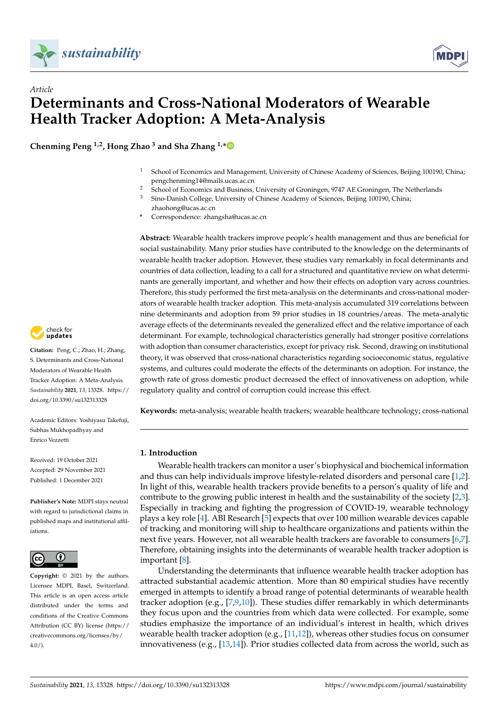

*Article*



# **Determinants and Cross-National Moderators of Wearable Health Tracker Adoption: A Meta-Analysis**

**Chenming Peng 1,2, Hong Zhao <sup>3</sup> and Sha Zhang 1,[\\*](https://orcid.org/0000-0002-1266-8919)**

- <sup>1</sup> School of Economics and Management, University of Chinese Academy of Sciences, Beijing 100190, China; pengchenming14@mails.ucas.ac.cn
- <sup>2</sup> School of Economics and Business, University of Groningen, 9747 AE Groningen, The Netherlands<br><sup>3</sup> Sine Darish Gallege University of Chinese Aeadamy of Grimese Beijine 100100 Chinese
- <sup>3</sup> Sino-Danish College, University of Chinese Academy of Sciences, Beijing 100190, China;
- zhaohong@ucas.ac.cn **\*** Correspondence: zhangsha@ucas.ac.cn

**Abstract:** Wearable health trackers improve people's health management and thus are beneficial for social sustainability. Many prior studies have contributed to the knowledge on the determinants of wearable health tracker adoption. However, these studies vary remarkably in focal determinants and countries of data collection, leading to a call for a structured and quantitative review on what determinants are generally important, and whether and how their effects on adoption vary across countries. Therefore, this study performed the first meta-analysis on the determinants and cross-national moderators of wearable health tracker adoption. This meta-analysis accumulated 319 correlations between nine determinants and adoption from 59 prior studies in 18 countries/areas. The meta-analytic average effects of the determinants revealed the generalized effect and the relative importance of each determinant. For example, technological characteristics generally had stronger positive correlations with adoption than consumer characteristics, except for privacy risk. Second, drawing on institutional theory, it was observed that cross-national characteristics regarding socioeconomic status, regulative systems, and cultures could moderate the effects of the determinants on adoption. For instance, the growth rate of gross domestic product decreased the effect of innovativeness on adoption, while regulatory quality and control of corruption could increase this effect.

**Keywords:** meta-analysis; wearable health trackers; wearable healthcare technology; cross-national

# **1. Introduction**

Wearable health trackers can monitor a user's biophysical and biochemical information and thus can help individuals improve lifestyle-related disorders and personal care [\[1,](#page-12-0)[2\]](#page-12-1). In light of this, wearable health trackers provide benefits to a person's quality of life and contribute to the growing public interest in health and the sustainability of the society [\[2](#page-12-1)[,3\]](#page-12-2). Especially in tracking and fighting the progression of COVID-19, wearable technology plays a key role [\[4\]](#page-12-3). ABI Research [\[5\]](#page-12-4) expects that over 100 million wearable devices capable of tracking and monitoring will ship to healthcare organizations and patients within the next five years. However, not all wearable health trackers are favorable to consumers [\[6,](#page-12-5)[7\]](#page-12-6). Therefore, obtaining insights into the determinants of wearable health tracker adoption is important [\[8\]](#page-12-7).

Understanding the determinants that influence wearable health tracker adoption has attracted substantial academic attention. More than 80 empirical studies have recently emerged in attempts to identify a broad range of potential determinants of wearable health tracker adoption (e.g., [\[7](#page-12-6)[,9](#page-12-8)[,10\]](#page-12-9)). These studies differ remarkably in which determinants they focus upon and the countries from which data were collected. For example, some studies emphasize the importance of an individual's interest in health, which drives wearable health tracker adoption (e.g.,  $[11,12]$  $[11,12]$ ), whereas other studies focus on consumer innovativeness (e.g., [\[13](#page-12-12)[,14\]](#page-12-13)). Prior studies collected data from across the world, such as



**Citation:** Peng, C.; Zhao, H.; Zhang, S. Determinants and Cross-National Moderators of Wearable Health Tracker Adoption: A Meta-Analysis. *Sustainability* **2021**, *13*, 13328. [https://](https://doi.org/10.3390/su132313328) [doi.org/10.3390/su132313328](https://doi.org/10.3390/su132313328)

Academic Editors: Yoshiyasu Takefuji, Subhas Mukhopadhyay and Enrico Vezzetti

Received: 19 October 2021 Accepted: 29 November 2021 Published: 1 December 2021

**Publisher's Note:** MDPI stays neutral with regard to jurisdictional claims in published maps and institutional affiliations.



**Copyright:** © 2021 by the authors. Licensee MDPI, Basel, Switzerland. This article is an open access article distributed under the terms and conditions of the Creative Commons Attribution (CC BY) license (https:/[/](https://creativecommons.org/licenses/by/4.0/) [creativecommons.org/licenses/by/](https://creativecommons.org/licenses/by/4.0/)  $4.0/$ ).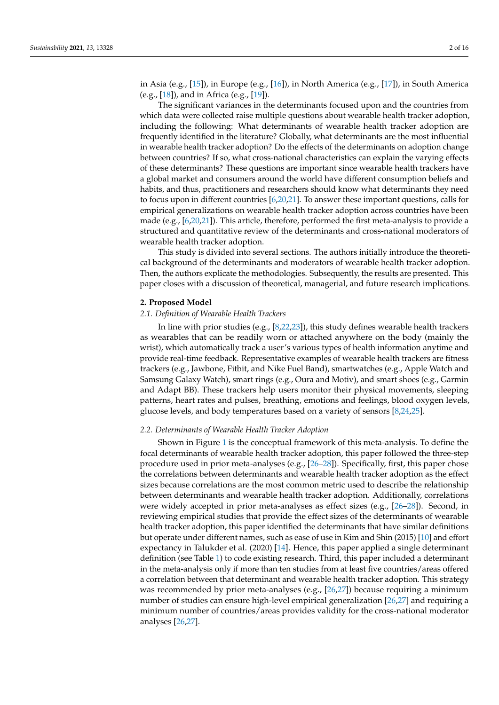in Asia (e.g., [\[15\]](#page-12-14)), in Europe (e.g., [\[16\]](#page-12-15)), in North America (e.g., [\[17\]](#page-12-16)), in South America (e.g., [\[18\]](#page-12-17)), and in Africa (e.g., [\[19\]](#page-12-18)).

The significant variances in the determinants focused upon and the countries from which data were collected raise multiple questions about wearable health tracker adoption, including the following: What determinants of wearable health tracker adoption are frequently identified in the literature? Globally, what determinants are the most influential in wearable health tracker adoption? Do the effects of the determinants on adoption change between countries? If so, what cross-national characteristics can explain the varying effects of these determinants? These questions are important since wearable health trackers have a global market and consumers around the world have different consumption beliefs and habits, and thus, practitioners and researchers should know what determinants they need to focus upon in different countries [\[6,](#page-12-5)[20,](#page-12-19)[21\]](#page-12-20). To answer these important questions, calls for empirical generalizations on wearable health tracker adoption across countries have been made (e.g., [\[6,](#page-12-5)[20,](#page-12-19)[21\]](#page-12-20)). This article, therefore, performed the first meta-analysis to provide a structured and quantitative review of the determinants and cross-national moderators of wearable health tracker adoption.

This study is divided into several sections. The authors initially introduce the theoretical background of the determinants and moderators of wearable health tracker adoption. Then, the authors explicate the methodologies. Subsequently, the results are presented. This paper closes with a discussion of theoretical, managerial, and future research implications.

#### **2. Proposed Model**

#### *2.1. Definition of Wearable Health Trackers*

In line with prior studies (e.g., [\[8,](#page-12-7)[22,](#page-12-21)[23\]](#page-13-0)), this study defines wearable health trackers as wearables that can be readily worn or attached anywhere on the body (mainly the wrist), which automatically track a user's various types of health information anytime and provide real-time feedback. Representative examples of wearable health trackers are fitness trackers (e.g., Jawbone, Fitbit, and Nike Fuel Band), smartwatches (e.g., Apple Watch and Samsung Galaxy Watch), smart rings (e.g., Oura and Motiv), and smart shoes (e.g., Garmin and Adapt BB). These trackers help users monitor their physical movements, sleeping patterns, heart rates and pulses, breathing, emotions and feelings, blood oxygen levels, glucose levels, and body temperatures based on a variety of sensors [\[8,](#page-12-7)[24,](#page-13-1)[25\]](#page-13-2).

# <span id="page-1-0"></span>*2.2. Determinants of Wearable Health Tracker Adoption*

Shown in Figure [1](#page-2-0) is the conceptual framework of this meta-analysis. To define the focal determinants of wearable health tracker adoption, this paper followed the three-step procedure used in prior meta-analyses (e.g., [\[26](#page-13-3)[–28\]](#page-13-4)). Specifically, first, this paper chose the correlations between determinants and wearable health tracker adoption as the effect sizes because correlations are the most common metric used to describe the relationship between determinants and wearable health tracker adoption. Additionally, correlations were widely accepted in prior meta-analyses as effect sizes (e.g., [\[26–](#page-13-3)[28\]](#page-13-4)). Second, in reviewing empirical studies that provide the effect sizes of the determinants of wearable health tracker adoption, this paper identified the determinants that have similar definitions but operate under different names, such as ease of use in Kim and Shin (2015) [\[10\]](#page-12-9) and effort expectancy in Talukder et al. (2020) [\[14\]](#page-12-13). Hence, this paper applied a single determinant definition (see Table [1\)](#page-2-1) to code existing research. Third, this paper included a determinant in the meta-analysis only if more than ten studies from at least five countries/areas offered a correlation between that determinant and wearable health tracker adoption. This strategy was recommended by prior meta-analyses (e.g., [\[26](#page-13-3)[,27\]](#page-13-5)) because requiring a minimum number of studies can ensure high-level empirical generalization [\[26,](#page-13-3)[27\]](#page-13-5) and requiring a minimum number of countries/areas provides validity for the cross-national moderator analyses [\[26](#page-13-3)[,27\]](#page-13-5).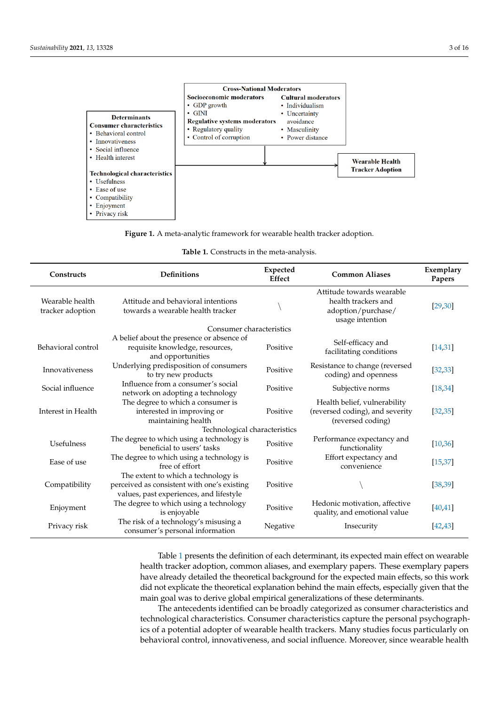<span id="page-2-0"></span>

smart product that can automatically collect personal data, is believed to believe distribution by influenced by influenced by influenced by influenced by  $\mathcal{L}_\mathcal{S}$ 



| Table 1. Constructs in the meta-analysis. |  |  |  |  |  |
|-------------------------------------------|--|--|--|--|--|
|-------------------------------------------|--|--|--|--|--|

<span id="page-2-1"></span>

| Constructs                          | <b>Definitions</b>                                                                                                            | Expected<br><b>Common Aliases</b><br><b>Effect</b> |                                                                                           | Exemplary<br>Papers |  |  |
|-------------------------------------|-------------------------------------------------------------------------------------------------------------------------------|----------------------------------------------------|-------------------------------------------------------------------------------------------|---------------------|--|--|
| Wearable health<br>tracker adoption | Attitude and behavioral intentions<br>towards a wearable health tracker                                                       |                                                    | Attitude towards wearable<br>health trackers and<br>adoption/purchase/<br>usage intention | [29, 30]            |  |  |
|                                     | Consumer characteristics                                                                                                      |                                                    |                                                                                           |                     |  |  |
| Behavioral control                  | A belief about the presence or absence of<br>requisite knowledge, resources,<br>and opportunities                             | Positive                                           | Self-efficacy and<br>facilitating conditions                                              | [14, 31]            |  |  |
| Innovativeness                      | Underlying predisposition of consumers<br>to try new products                                                                 | Positive                                           | Resistance to change (reversed<br>coding) and openness                                    | [32, 33]            |  |  |
| Social influence                    | Influence from a consumer's social<br>network on adopting a technology                                                        | Positive                                           | Subjective norms                                                                          | [18, 34]            |  |  |
| Interest in Health                  | The degree to which a consumer is<br>interested in improving or<br>maintaining health                                         | Positive                                           | Health belief, vulnerability<br>(reversed coding), and severity<br>(reversed coding)      | [32, 35]            |  |  |
| Technological characteristics       |                                                                                                                               |                                                    |                                                                                           |                     |  |  |
| Usefulness                          | The degree to which using a technology is<br>beneficial to users' tasks                                                       | Positive                                           | Performance expectancy and<br>functionality                                               | [10, 36]            |  |  |
| Ease of use                         | The degree to which using a technology is<br>free of effort                                                                   | Positive                                           | Effort expectancy and<br>convenience                                                      | [15, 37]            |  |  |
| Compatibility                       | The extent to which a technology is<br>perceived as consistent with one's existing<br>values, past experiences, and lifestyle | Positive                                           |                                                                                           | [38, 39]            |  |  |
| Enjoyment                           | The degree to which using a technology<br>is enjoyable                                                                        | Positive                                           | Hedonic motivation, affective<br>quality, and emotional value                             | [40, 41]            |  |  |
| Privacy risk                        | The risk of a technology's misusing a<br>consumer's personal information                                                      | Negative                                           | Insecurity                                                                                | [42, 43]            |  |  |

Table [1](#page-2-1) presents the definition of each determinant, its expected main effect on wearable health tracker adoption, common aliases, and exemplary papers. These exemplary papers have already detailed the theoretical background for the expected main effects, so this work did not explicate the theoretical explanation behind the main effects, especially given that the main goal was to derive global empirical generalizations of these determinants.

The antecedents identified can be broadly categorized as consumer characteristics and technological characteristics. Consumer characteristics capture the personal psychographics of a potential adopter of wearable health trackers. Many studies focus particularly on behavioral control, innovativeness, and social influence. Moreover, since wearable health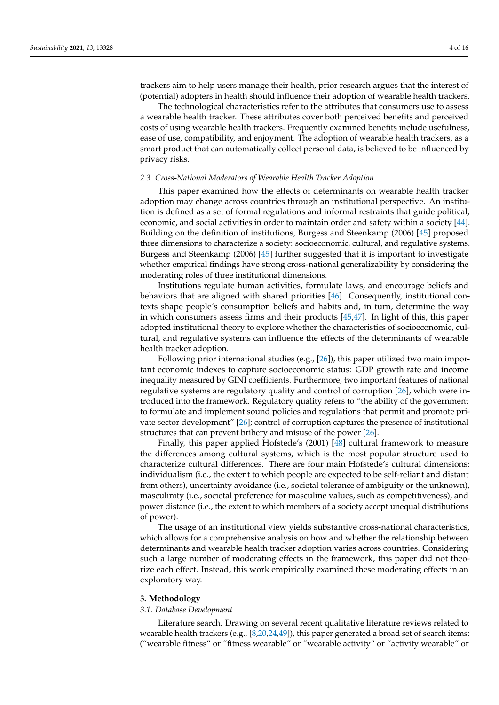trackers aim to help users manage their health, prior research argues that the interest of (potential) adopters in health should influence their adoption of wearable health trackers.

The technological characteristics refer to the attributes that consumers use to assess a wearable health tracker. These attributes cover both perceived benefits and perceived costs of using wearable health trackers. Frequently examined benefits include usefulness, ease of use, compatibility, and enjoyment. The adoption of wearable health trackers, as a smart product that can automatically collect personal data, is believed to be influenced by privacy risks.

# *2.3. Cross-National Moderators of Wearable Health Tracker Adoption*

This paper examined how the effects of determinants on wearable health tracker adoption may change across countries through an institutional perspective. An institution is defined as a set of formal regulations and informal restraints that guide political, economic, and social activities in order to maintain order and safety within a society [\[44\]](#page-13-21). Building on the definition of institutions, Burgess and Steenkamp (2006) [\[45\]](#page-13-22) proposed three dimensions to characterize a society: socioeconomic, cultural, and regulative systems. Burgess and Steenkamp (2006) [\[45\]](#page-13-22) further suggested that it is important to investigate whether empirical findings have strong cross-national generalizability by considering the moderating roles of three institutional dimensions.

Institutions regulate human activities, formulate laws, and encourage beliefs and behaviors that are aligned with shared priorities [\[46\]](#page-13-23). Consequently, institutional contexts shape people's consumption beliefs and habits and, in turn, determine the way in which consumers assess firms and their products [\[45,](#page-13-22)[47\]](#page-13-24). In light of this, this paper adopted institutional theory to explore whether the characteristics of socioeconomic, cultural, and regulative systems can influence the effects of the determinants of wearable health tracker adoption.

Following prior international studies (e.g., [\[26\]](#page-13-3)), this paper utilized two main important economic indexes to capture socioeconomic status: GDP growth rate and income inequality measured by GINI coefficients. Furthermore, two important features of national regulative systems are regulatory quality and control of corruption [\[26\]](#page-13-3), which were introduced into the framework. Regulatory quality refers to "the ability of the government to formulate and implement sound policies and regulations that permit and promote private sector development" [\[26\]](#page-13-3); control of corruption captures the presence of institutional structures that can prevent bribery and misuse of the power [\[26\]](#page-13-3).

Finally, this paper applied Hofstede's (2001) [\[48\]](#page-13-25) cultural framework to measure the differences among cultural systems, which is the most popular structure used to characterize cultural differences. There are four main Hofstede's cultural dimensions: individualism (i.e., the extent to which people are expected to be self-reliant and distant from others), uncertainty avoidance (i.e., societal tolerance of ambiguity or the unknown), masculinity (i.e., societal preference for masculine values, such as competitiveness), and power distance (i.e., the extent to which members of a society accept unequal distributions of power).

The usage of an institutional view yields substantive cross-national characteristics, which allows for a comprehensive analysis on how and whether the relationship between determinants and wearable health tracker adoption varies across countries. Considering such a large number of moderating effects in the framework, this paper did not theorize each effect. Instead, this work empirically examined these moderating effects in an exploratory way.

# **3. Methodology**

#### *3.1. Database Development*

Literature search. Drawing on several recent qualitative literature reviews related to wearable health trackers (e.g., [\[8,](#page-12-7)[20](#page-12-19)[,24](#page-13-1)[,49\]](#page-13-26)), this paper generated a broad set of search items: ("wearable fitness" or "fitness wearable" or "wearable activity" or "activity wearable" or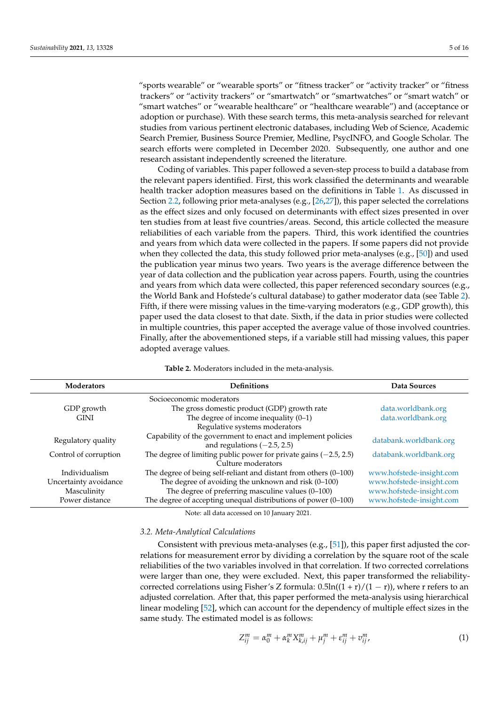"sports wearable" or "wearable sports" or "fitness tracker" or "activity tracker" or "fitness trackers" or "activity trackers" or "smartwatch" or "smartwatches" or "smart watch" or "smart watches" or "wearable healthcare" or "healthcare wearable") and (acceptance or adoption or purchase). With these search terms, this meta-analysis searched for relevant studies from various pertinent electronic databases, including Web of Science, Academic Search Premier, Business Source Premier, Medline, PsycINFO, and Google Scholar. The search efforts were completed in December 2020. Subsequently, one author and one research assistant independently screened the literature.

Coding of variables. This paper followed a seven-step process to build a database from the relevant papers identified. First, this work classified the determinants and wearable health tracker adoption measures based on the definitions in Table [1.](#page-2-1) As discussed in Section [2.2,](#page-1-0) following prior meta-analyses (e.g., [\[26,](#page-13-3)[27\]](#page-13-5)), this paper selected the correlations as the effect sizes and only focused on determinants with effect sizes presented in over ten studies from at least five countries/areas. Second, this article collected the measure reliabilities of each variable from the papers. Third, this work identified the countries and years from which data were collected in the papers. If some papers did not provide when they collected the data, this study followed prior meta-analyses (e.g., [\[50\]](#page-13-27)) and used the publication year minus two years. Two years is the average difference between the year of data collection and the publication year across papers. Fourth, using the countries and years from which data were collected, this paper referenced secondary sources (e.g., the World Bank and Hofstede's cultural database) to gather moderator data (see Table [2\)](#page-4-0). Fifth, if there were missing values in the time-varying moderators (e.g., GDP growth), this paper used the data closest to that date. Sixth, if the data in prior studies were collected in multiple countries, this paper accepted the average value of those involved countries. Finally, after the abovementioned steps, if a variable still had missing values, this paper adopted average values.

<span id="page-4-0"></span>

| <b>Moderators</b>     | <b>Definitions</b>                                                                            | Data Sources             |
|-----------------------|-----------------------------------------------------------------------------------------------|--------------------------|
|                       | Socioeconomic moderators                                                                      |                          |
| GDP growth            | The gross domestic product (GDP) growth rate                                                  | data.worldbank.org       |
| <b>GINI</b>           | The degree of income inequality $(0-1)$                                                       | data.worldbank.org       |
|                       | Regulative systems moderators                                                                 |                          |
| Regulatory quality    | Capability of the government to enact and implement policies<br>and regulations $(-2.5, 2.5)$ | databank.worldbank.org   |
| Control of corruption | The degree of limiting public power for private gains $(-2.5, 2.5)$<br>Culture moderators     | databank.worldbank.org   |
| Individualism         | The degree of being self-reliant and distant from others (0-100)                              | www.hofstede-insight.com |
| Uncertainty avoidance | The degree of avoiding the unknown and risk (0-100)                                           | www.hofstede-insight.com |
| Masculinity           | The degree of preferring masculine values (0-100)                                             | www.hofstede-insight.com |
| Power distance        | The degree of accepting unequal distributions of power $(0-100)$                              | www.hofstede-insight.com |
|                       | Note: all data accessed on 10 January 2021.                                                   |                          |

**Table 2.** Moderators included in the meta-analysis.

#### *3.2. Meta-Analytical Calculations*

Consistent with previous meta-analyses (e.g., [\[51\]](#page-13-28)), this paper first adjusted the correlations for measurement error by dividing a correlation by the square root of the scale reliabilities of the two variables involved in that correlation. If two corrected correlations were larger than one, they were excluded. Next, this paper transformed the reliabilitycorrected correlations using Fisher's Z formula:  $0.5\ln((1 + r)/(1 - r))$ , where r refers to an adjusted correlation. After that, this paper performed the meta-analysis using hierarchical linear modeling [\[52\]](#page-13-29), which can account for the dependency of multiple effect sizes in the same study. The estimated model is as follows:

$$
Z_{ij}^{m} = \alpha_0^{m} + \alpha_k^{m} X_{k,ij}^{m} + \mu_j^{m} + \varepsilon_{ij}^{m} + \nu_{ij}^{m}, \qquad (1)
$$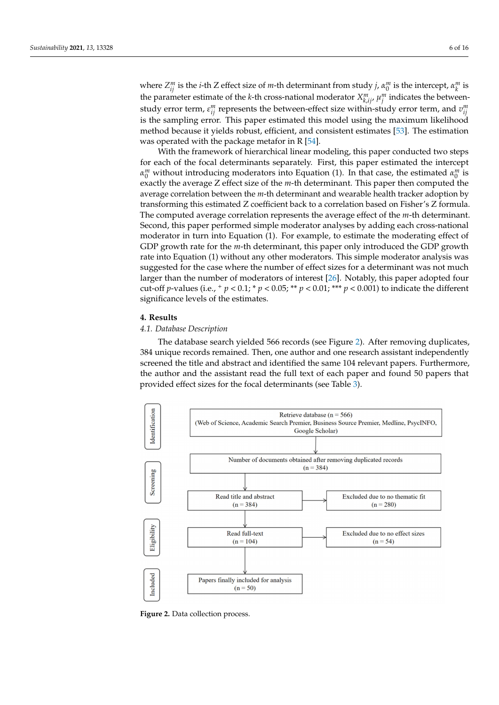where  $Z_{ij}^m$  is the *i*-th Z effect size of *m*-th determinant from study *j*,  $\alpha_0^m$  is the intercept,  $\alpha_k^m$  is the parameter estimate of the *k*-th cross-national moderator  $X_{k, i j'}^m$ ,  $\mu_j^m$  indicates the betweenstudy error term,  $\varepsilon_{ij}^m$  represents the between-effect size within-study error term, and  $v_{ij}^m$ is the sampling error. This paper estimated this model using the maximum likelihood method because it yields robust, efficient, and consistent estimates [\[53\]](#page-13-30). The estimation was operated with the package metafor in R [\[54\]](#page-13-31).

With the framework of hierarchical linear modeling, this paper conducted two steps for each of the focal determinants separately. First, this paper estimated the intercept  $\alpha_0^m$  without introducing moderators into Equation (1). In that case, the estimated  $\alpha_0^m$  is exactly the average Z effect size of the *m*-th determinant. This paper then computed the average correlation between the *m*-th determinant and wearable health tracker adoption by transforming this estimated Z coefficient back to a correlation based on Fisher's Z formula. The computed average correlation represents the average effect of the *m*-th determinant. Second, this paper performed simple moderator analyses by adding each cross-national moderator in turn into Equation (1). For example, to estimate the moderating effect of GDP growth rate for the *m*-th determinant, this paper only introduced the GDP growth rate into Equation (1) without any other moderators. This simple moderator analysis was suggested for the case where the number of effect sizes for a determinant was not much larger than the number of moderators of interest [\[26\]](#page-13-3). Notably, this paper adopted four cut-off *p*-values (i.e.,  $^+p < 0.1$ ;  $^*p < 0.05$ ;  $^{**}p < 0.01$ ;  $^{***}p < 0.001$ ) to indicate the different significance levels of the estimates.

#### **4. Results**

# *4.1. Database Description*

The database search yielded 566 records (see Figure [2\)](#page-5-0). After removing duplicates, 384 unique records remained. Then, one author and one research assistant independently screened the title and abstract and identified the same 104 relevant papers. Furthermore, the author and the assistant read the full text of each paper and found 50 papers that provided effect sizes for the focal determinants (see Table [3\)](#page-6-0).

<span id="page-5-0"></span>

**Figure 2.** Data collection process. **Figure 2.** Data collection process.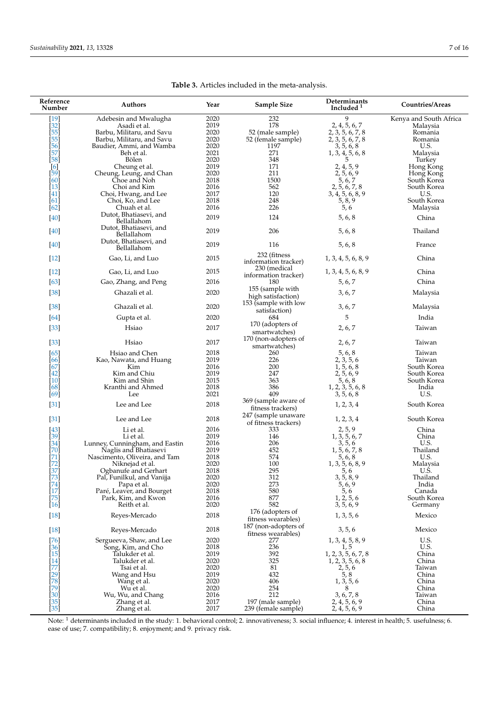<span id="page-6-0"></span>

| Reference<br>Number                      | Authors                                                 | Year         | Sample Size                                 | Determinants<br>Included <sup>1</sup> | Countries/Areas            |  |  |
|------------------------------------------|---------------------------------------------------------|--------------|---------------------------------------------|---------------------------------------|----------------------------|--|--|
| [19]                                     | Adebesin and Mwalugha                                   | 2020         | 232                                         | 9                                     | Kenya and South Africa     |  |  |
| [32]                                     | Asadi et al.                                            | 2019         | 178                                         | 2, 4, 5, 6, 7                         | Malaysia                   |  |  |
| $\overline{[55]}$                        | Barbu, Militaru, and Savu                               | 2020         | 52 (male sample)                            | 2, 3, 5, 6, 7, 8                      | Romania                    |  |  |
| [55]                                     | Barbu, Militaru, and Savu                               | 2020         | 52 (female sample)                          | 2, 3, 5, 6, 7, 8                      | Romania                    |  |  |
| $\overline{[56]}$                        | Baudier, Ammi, and Wamba                                | 2020         | 1197                                        | 3, 5, 6, 8                            | U.S.                       |  |  |
| [57]                                     | Beh et al.                                              | 2021         | 271                                         | 1, 3, 4, 5, 6, 8                      | Malaysia                   |  |  |
| [58]                                     | Bölen                                                   | 2020         | 348                                         | 5                                     | Turkey                     |  |  |
| [6]                                      | Cheung et al.                                           | 2019         | 171                                         | 2, 4, 5, 9                            | Hong Kong                  |  |  |
| [59]<br>[60]                             | Cheung, Leung, and Chan                                 | 2020<br>2018 | 211<br>1500                                 | 2, 5, 6, 9<br>5, 6, 7                 | Hong Kong                  |  |  |
| $\overline{1}3\overline{1}$              | Choe and Noh<br>Choi and Kim                            | 2016         | 562                                         | 2, 5, 6, 7, 8                         | South Korea<br>South Korea |  |  |
| [41]                                     | Choi, Hwang, and Lee                                    | 2017         | 120                                         | 3, 4, 5, 6, 8, 9                      | U.S.                       |  |  |
| [61]                                     | Choi, Ko, and Lee                                       | 2018         | 248                                         |                                       | South Korea                |  |  |
| $[62]$                                   | Chuah et al.                                            | 2016         | 226                                         | $\frac{5,8,9}{5,6}$                   | Malaysia                   |  |  |
|                                          | Dutot, Bhatiasevi, and                                  |              |                                             |                                       |                            |  |  |
| $[40]$                                   | Bellallahom                                             | 2019         | 124                                         | 5, 6, 8                               | China                      |  |  |
| $[40]$                                   | Dutot, Bhatiasevi, and<br>Bellallahom                   | 2019         | 206                                         | 5, 6, 8                               | Thailand                   |  |  |
| $[40]$                                   | Dutot, Bhatiasevi, and<br>Bellallahom                   | 2019         | 116                                         | 5, 6, 8                               | France                     |  |  |
| $[12]$                                   | Gao, Li, and Luo                                        | 2015         | 232 (fitness<br>information tracker)        | 1, 3, 4, 5, 6, 8, 9                   | China                      |  |  |
| $[12]$                                   | Gao, Li, and Luo                                        | 2015         | 230 (medical<br>information tracker)        | 1, 3, 4, 5, 6, 8, 9                   | China                      |  |  |
| [63]                                     | Gao, Zhang, and Peng                                    | 2016         | 180                                         | 5, 6, 7                               | China                      |  |  |
| $[38]$                                   | Ghazali et al.                                          | 2020         | 155 (sample with<br>high satisfaction)      | 3, 6, 7                               | Malaysia                   |  |  |
| $[38]$                                   | Ghazali et al.                                          | 2020         | 153 (sample with low<br>satisfaction)       | 3, 6, 7                               | Malaysia                   |  |  |
| [64]                                     | Gupta et al.                                            | 2020         | 684                                         | 5                                     | India                      |  |  |
| $[33]$                                   | Hsiao                                                   | 2017         | 170 (adopters of<br>smartwatches)           | 2, 6, 7                               | Taiwan                     |  |  |
| $[33]$                                   | Hsiao                                                   | 2017         | 170 (non-adopters of<br>smartwatches)       | 2, 6, 7                               | Taiwan                     |  |  |
| [65]                                     | Hsiao and Chen                                          | 2018         | 260                                         | 5, 6, 8                               | Taiwan                     |  |  |
| [66]                                     | Kao, Nawata, and Huang                                  | 2019         | 226                                         | 2, 3, 5, 6                            | Taiwan                     |  |  |
| [67]                                     | Kim                                                     | 2016         | 200                                         | 1, 5, 6, 8                            | South Korea                |  |  |
| $\left[42\right]$                        | Kim and Chiu                                            | 2019         | 247                                         | 2, 5, 6, 9                            | South Korea                |  |  |
| [10]                                     | Kim and Shin                                            | 2015         | 363                                         | 5, 6, 8                               | South Korea                |  |  |
| [68]                                     | Kranthi and Ahmed                                       | 2018         | 386                                         | 1, 2, 3, 5, 6, 8                      | India                      |  |  |
| [69]                                     | Lee                                                     | 2021         | 409                                         | 3, 5, 6, 8                            | U.S.                       |  |  |
| $[31]$                                   | Lee and Lee                                             | 2018         | 369 (sample aware of<br>fitness trackers)   | 1, 2, 3, 4                            | South Korea                |  |  |
| $[31]$                                   | Lee and Lee                                             | 2018         | 247 (sample unaware<br>of fitness trackers) | 1, 2, 3, 4                            | South Korea                |  |  |
| $[43]$                                   | Li et al.                                               | 2016         | 333                                         | 2, 5, 9                               | China                      |  |  |
| $[39]$                                   | Li et al.                                               | 2019         | 146                                         | 1, 3, 5, 6, 7                         | China                      |  |  |
| [34]<br>Ī70Ī                             | Lunney, Cunningham, and Eastin<br>Naglis and Bhatiasevi | 2016<br>2019 | 206<br>452                                  | 3, 5, 6<br>1, 5, 6, 7, 8              | U.S.<br>Thailand           |  |  |
| $[71]$                                   | Nascimento, Oliveira, and Tam                           | 2018         | 574                                         | 5, 6, 8                               | U.S.                       |  |  |
| $[72]$                                   | Niknejad et al.                                         | 2020         | 100                                         | 1, 3, 5, 6, 8, 9                      | Malaysia                   |  |  |
|                                          | Ogbanufe and Gerhart                                    | 2018         | 295                                         | 5, 6                                  | U.S.                       |  |  |
| $\begin{bmatrix} 37 \\ 73 \end{bmatrix}$ | Pal, Funilkul, and Vanijja                              | 2020         | 312                                         | 3, 5, 8, 9                            | Thailand                   |  |  |
| $[74]$                                   | Papa et al.                                             | 2020         | 273                                         | 5, 6, 9                               | India                      |  |  |
| $[17]$                                   | Paré, Leaver, and Bourget                               | 2018         | 580                                         | 5, 6                                  | Canada                     |  |  |
| $[75]$<br>$[16]$                         | Park, Kim, and Kwon<br>Reith et al.                     | 2016<br>2020 | 877<br>582                                  | 1, 2, 5, 6<br>3, 5, 6, 9              | South Korea<br>Germany     |  |  |
| $[18]$                                   | Reyes-Mercado                                           | 2018         | 176 (adopters of<br>fitness wearables)      | 1, 3, 5, 6                            | Mexico                     |  |  |
| $[18]$                                   | Reyes-Mercado                                           | 2018         | 187 (non-adopters of<br>fitness wearables)  | 3, 5, 6                               | Mexico                     |  |  |
| $[76]$                                   | Sergueeva, Shaw, and Lee                                | 2020         | 277                                         | 1, 3, 4, 5, 8, 9                      | U.S.                       |  |  |
| $[36]$                                   | Song, Kim, and Cho                                      | 2018<br>2019 | 236<br>392                                  | 1, 5<br>1, 2, 3, 5, 6, 7, 8           | U.S.<br>China              |  |  |
| $\left[15\right]$<br>[14]                | Talukder et al.<br>Talukder et al.                      | 2020         | 325                                         | 1, 2, 3, 5, 6, 8                      | China                      |  |  |
| [77]                                     | Tsai et al.                                             | 2020         | 81                                          |                                       | Taiwan                     |  |  |
|                                          | Wang and Hsu                                            | 2019         | 432                                         | $\frac{2,5,6}{5,8}$                   | China                      |  |  |
| [29]<br>[78]                             | Wang et al.                                             | 2020         | 406                                         | 1, 3, 5, 6                            | China                      |  |  |
| [79]                                     | Wu et al.                                               | 2020         | 254                                         | 8                                     | China                      |  |  |
| $\left[30\right]$                        | Wu, Wu, and Chang                                       | 2016         | 212                                         | 3, 6, 7, 8                            | Taiwan                     |  |  |
| $\begin{bmatrix} 35 \\ 35 \end{bmatrix}$ | Zhang et al.                                            | 2017         | 197 (male sample)                           | 2, 4, 5, 6, 9                         | China                      |  |  |
|                                          | Zhang et al.                                            | 2017         | 239 (female sample)                         | 2, 4, 5, 6, 9                         | China                      |  |  |

**Table 3.** Articles included in the meta-analysis.

Note:  $^1$  determinants included in the study: 1. behavioral control; 2. innovativeness; 3. social influence; 4. interest in health; 5. usefulness; 6. ease of use; 7. compatibility; 8. enjoyment; and 9. privacy risk.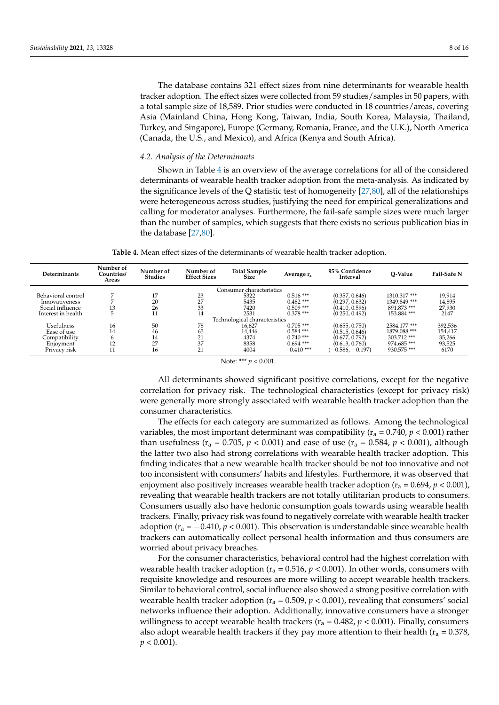The database contains 321 effect sizes from nine determinants for wearable health tracker adoption. The effect sizes were collected from 59 studies/samples in 50 papers, with a total sample size of 18,589. Prior studies were conducted in 18 countries/areas, covering Asia (Mainland China, Hong Kong, Taiwan, India, South Korea, Malaysia, Thailand, Turkey, and Singapore), Europe (Germany, Romania, France, and the U.K.), North America (Canada, the U.S., and Mexico), and Africa (Kenya and South Africa).

#### *4.2. Analysis of the Determinants*

Shown in Table [4](#page-7-0) is an overview of the average correlations for all of the considered determinants of wearable health tracker adoption from the meta-analysis. As indicated by the significance levels of the Q statistic test of homogeneity [\[27](#page-13-5)[,80\]](#page-14-25), all of the relationships were heterogeneous across studies, justifying the need for empirical generalizations and calling for moderator analyses. Furthermore, the fail-safe sample sizes were much larger than the number of samples, which suggests that there exists no serious publication bias in the database [\[27,](#page-13-5)[80\]](#page-14-25).

**Table 4.** Mean effect sizes of the determinants of wearable health tracker adoption.

<span id="page-7-0"></span>

| Determinants       | Number of<br>Countries/<br>Areas | Number of<br><b>Studies</b> | Number of<br><b>Effect Sizes</b> | <b>Total Sample</b><br><b>Size</b> | Average $r_a$ | 95% Confidence<br>Interval | O-Value      | Fail-Safe N |
|--------------------|----------------------------------|-----------------------------|----------------------------------|------------------------------------|---------------|----------------------------|--------------|-------------|
|                    |                                  |                             |                                  | Consumer characteristics           |               |                            |              |             |
| Behavioral control |                                  | 17                          | 23                               | 5322                               | $0.516***$    | (0.357, 0.646)             | 1310.317***  | 19,914      |
| Innovativeness     |                                  | 20                          | 27                               | 5435                               | $0.482***$    | (0.297, 0.632)             | 1349.849***  | 14,895      |
| Social influence   | 13                               | 26                          | 33                               | 7420                               | $0.509$ ***   | (0.410, 0.596)             | 891.873 ***  | 27,930      |
| Interest in health |                                  | 11                          | 14                               | 2531                               | $0.378$ ***   | (0.250, 0.492)             | 153.884***   | 2147        |
|                    |                                  |                             |                                  | Technological characteristics      |               |                            |              |             |
| <b>Usefulness</b>  | 16                               | 50                          | 78                               | 16,627                             | $0.705$ ***   | (0.655, 0.750)             | 2584.177***  | 392,536     |
| Ease of use        | 14                               | 46                          | 65                               | 14,446                             | $0.584$ ***   | (0.515, 0.646)             | 1879.088 *** | 154,417     |
| Compatibility      |                                  | 14                          | 21                               | 4374                               | $0.740$ ***   | (0.677, 0.792)             | 303.712 ***  | 35,266      |
| Enjoyment          | 12                               | 27<br>$\angle l$            | 37                               | 8358                               | $0.694$ ***   | (0.613, 0.760)             | 974.685***   | 93,525      |
| Privacy risk       | 11                               | 16                          | 21                               | 4004                               | $-0.410$ ***  | $(-0.586, -0.197)$         | 930.575 ***  | 6170        |

Note: \*\*\* *p* < 0.001.

All determinants showed significant positive correlations, except for the negative correlation for privacy risk. The technological characteristics (except for privacy risk) were generally more strongly associated with wearable health tracker adoption than the consumer characteristics.

The effects for each category are summarized as follows. Among the technological variables, the most important determinant was compatibility ( $r_a = 0.740$ ,  $p < 0.001$ ) rather than usefulness ( $r_a = 0.705$ ,  $p < 0.001$ ) and ease of use ( $r_a = 0.584$ ,  $p < 0.001$ ), although the latter two also had strong correlations with wearable health tracker adoption. This finding indicates that a new wearable health tracker should be not too innovative and not too inconsistent with consumers' habits and lifestyles. Furthermore, it was observed that enjoyment also positively increases wearable health tracker adoption  $(r_a = 0.694, p < 0.001)$ , revealing that wearable health trackers are not totally utilitarian products to consumers. Consumers usually also have hedonic consumption goals towards using wearable health trackers. Finally, privacy risk was found to negatively correlate with wearable health tracker adoption ( $r_a = -0.410$ ,  $p < 0.001$ ). This observation is understandable since wearable health trackers can automatically collect personal health information and thus consumers are worried about privacy breaches.

For the consumer characteristics, behavioral control had the highest correlation with wearable health tracker adoption ( $r_a$  = 0.516,  $p$  < 0.001). In other words, consumers with requisite knowledge and resources are more willing to accept wearable health trackers. Similar to behavioral control, social influence also showed a strong positive correlation with wearable health tracker adoption  $(r_a = 0.509, p < 0.001)$ , revealing that consumers' social networks influence their adoption. Additionally, innovative consumers have a stronger willingness to accept wearable health trackers ( $r_a = 0.482$ ,  $p < 0.001$ ). Finally, consumers also adopt wearable health trackers if they pay more attention to their health ( $r_a = 0.378$ ,  $p < 0.001$ ).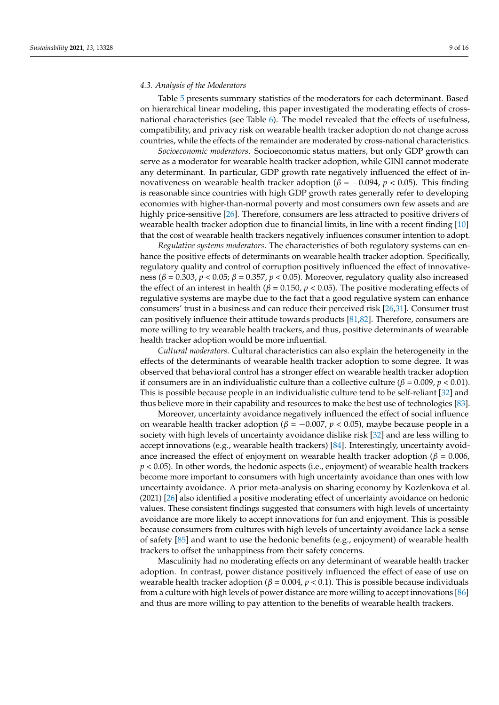# *4.3. Analysis of the Moderators*

Table [5](#page-9-0) presents summary statistics of the moderators for each determinant. Based on hierarchical linear modeling, this paper investigated the moderating effects of crossnational characteristics (see Table [6\)](#page-9-1). The model revealed that the effects of usefulness, compatibility, and privacy risk on wearable health tracker adoption do not change across countries, while the effects of the remainder are moderated by cross-national characteristics.

*Socioeconomic moderators*. Socioeconomic status matters, but only GDP growth can serve as a moderator for wearable health tracker adoption, while GINI cannot moderate any determinant. In particular, GDP growth rate negatively influenced the effect of innovativeness on wearable health tracker adoption ( $β = -0.094$ ,  $p < 0.05$ ). This finding is reasonable since countries with high GDP growth rates generally refer to developing economies with higher-than-normal poverty and most consumers own few assets and are highly price-sensitive [\[26\]](#page-13-3). Therefore, consumers are less attracted to positive drivers of wearable health tracker adoption due to financial limits, in line with a recent finding [\[10\]](#page-12-9) that the cost of wearable health trackers negatively influences consumer intention to adopt.

*Regulative systems moderators*. The characteristics of both regulatory systems can enhance the positive effects of determinants on wearable health tracker adoption. Specifically, regulatory quality and control of corruption positively influenced the effect of innovativeness (*β* = 0.303, *p* < 0.05; *β* = 0.357, *p* < 0.05). Moreover, regulatory quality also increased the effect of an interest in health ( $\beta$  = 0.150,  $p$  < 0.05). The positive moderating effects of regulative systems are maybe due to the fact that a good regulative system can enhance consumers' trust in a business and can reduce their perceived risk [\[26,](#page-13-3)[31\]](#page-13-8). Consumer trust can positively influence their attitude towards products [\[81,](#page-14-26)[82\]](#page-14-27). Therefore, consumers are more willing to try wearable health trackers, and thus, positive determinants of wearable health tracker adoption would be more influential.

*Cultural moderators*. Cultural characteristics can also explain the heterogeneity in the effects of the determinants of wearable health tracker adoption to some degree. It was observed that behavioral control has a stronger effect on wearable health tracker adoption if consumers are in an individualistic culture than a collective culture (*β* = 0.009, *p* < 0.01). This is possible because people in an individualistic culture tend to be self-reliant [\[32\]](#page-13-9) and thus believe more in their capability and resources to make the best use of technologies [\[83\]](#page-14-28).

Moreover, uncertainty avoidance negatively influenced the effect of social influence on wearable health tracker adoption ( $β = -0.007$ ,  $p < 0.05$ ), maybe because people in a society with high levels of uncertainty avoidance dislike risk [\[32\]](#page-13-9) and are less willing to accept innovations (e.g., wearable health trackers) [\[84\]](#page-14-29). Interestingly, uncertainty avoidance increased the effect of enjoyment on wearable health tracker adoption ( $\beta = 0.006$ ) *p* < 0.05). In other words, the hedonic aspects (i.e., enjoyment) of wearable health trackers become more important to consumers with high uncertainty avoidance than ones with low uncertainty avoidance. A prior meta-analysis on sharing economy by Kozlenkova et al. (2021) [\[26\]](#page-13-3) also identified a positive moderating effect of uncertainty avoidance on hedonic values. These consistent findings suggested that consumers with high levels of uncertainty avoidance are more likely to accept innovations for fun and enjoyment. This is possible because consumers from cultures with high levels of uncertainty avoidance lack a sense of safety [\[85\]](#page-14-30) and want to use the hedonic benefits (e.g., enjoyment) of wearable health trackers to offset the unhappiness from their safety concerns.

Masculinity had no moderating effects on any determinant of wearable health tracker adoption. In contrast, power distance positively influenced the effect of ease of use on wearable health tracker adoption (*β* = 0.004, *p* < 0.1). This is possible because individuals from a culture with high levels of power distance are more willing to accept innovations [\[86\]](#page-15-0) and thus are more willing to pay attention to the benefits of wearable health trackers.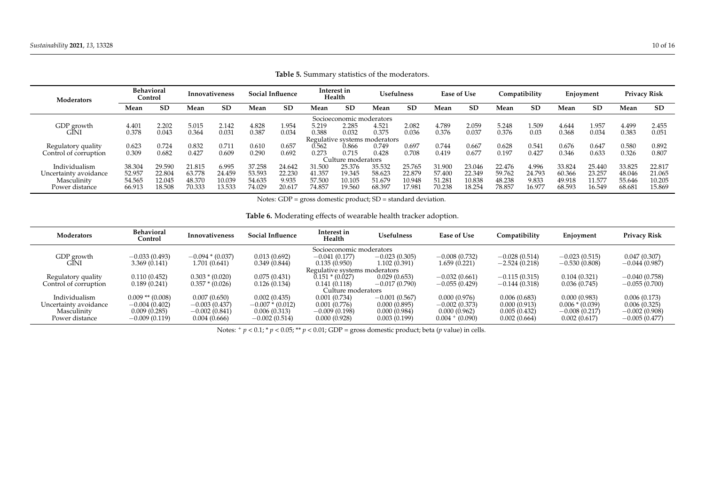| Moderators            | <b>Behavioral</b><br>Innovativeness<br>Control |           | <b>Social Influence</b> |           |        | Interest in<br>Usefulness<br>Health |        |                          | <b>Ease of Use</b>            |           | Compatibility |           | Enjoyment |           | <b>Privacy Risk</b> |           |        |        |
|-----------------------|------------------------------------------------|-----------|-------------------------|-----------|--------|-------------------------------------|--------|--------------------------|-------------------------------|-----------|---------------|-----------|-----------|-----------|---------------------|-----------|--------|--------|
|                       | Mean                                           | <b>SD</b> | Mean                    | <b>SD</b> | Mean   | <b>SD</b>                           | Mean   | <b>SD</b>                | Mean                          | <b>SD</b> | Mean          | <b>SD</b> | Mean      | <b>SD</b> | Mean                | <b>SD</b> | Mean   | SD     |
|                       |                                                |           |                         |           |        |                                     |        | Socioeconomic moderators |                               |           |               |           |           |           |                     |           |        |        |
| GDP growth            | $4.40^{\circ}$                                 | 2.202     | 5.015                   | 2.142     | 4.828  | 1.954                               | 5.219  | 2.285                    | 4.521                         | 2.082     | 4.789         | 2.059     | 5.248     | 1.509     | 4.644               | 1.957     | 4.499  | 2.455  |
| GINI                  | 0.378                                          | 0.043     | 0.364                   | 0.031     | 0.387  | 0.034                               | 0.388  | 0.032                    | 0.375                         | 0.036     | 0.376         | 0.037     | 0.376     | 0.03      | 0.368               | 0.034     | 0.383  | 0.051  |
|                       |                                                |           |                         |           |        |                                     |        |                          | Regulative systems moderators |           |               |           |           |           |                     |           |        |        |
| Regulatory quality    | 0.623                                          | 0.724     | 0.832                   | 0.71      | 0.610  | 0.657                               | 0.562  | 0.866                    | 0.749                         | 0.697     | 0.744         | 0.667     | 0.628     | 0.541     | 0.676               | 0.647     | 0.580  | 0.892  |
| Control of corruption | 0.309                                          | 0.682     | 0.427                   | 0.609     | 0.290  | 0.692                               | 0.273  | 0.715                    | 0.428                         | 0.708     | 0.419         | 0.677     | 0.197     | 0.427     | 0.346               | 0.633     | 0.326  | 0.807  |
|                       |                                                |           |                         |           |        |                                     |        | Culture moderators       |                               |           |               |           |           |           |                     |           |        |        |
| Individualism         | 38.304                                         | 29.590    | 21.815                  | 6.995     | 37.258 | 24.642                              | 31.500 | 25.376                   | 35.532                        | 25.765    | 31.900        | 23.046    | 22.476    | 4.996     | 33.824              | 25.440    | 33.825 | 22.817 |
| Uncertainty avoidance | 52.957                                         | 22.804    | 63.778                  | 24.459    | 53.593 | 22.230                              | 41.357 | 19.345                   | 58.623                        | 22.879    | 57.400        | 22.349    | 59.762    | 24.793    | 60.366              | 23.257    | 48.046 | 21.065 |
| Masculinity           | 54.565                                         | 12.045    | 48.370                  | 10.039    | 54.635 | 9.935                               | 57.500 | 10.105                   | 51.679                        | 10.948    | 51.281        | 10.838    | 48.238    | 9.833     | 49.918              | 1.577     | 55.646 | 10.205 |
| Power distance        | 66.913                                         | 18.508    | 70.333                  | 13.533    | 74.029 | 20.61                               | 74.857 | 19.560                   | 68.397                        | 17.981    | 70.238        | 18.254    | 78.857    | 16.97.    | 68.593              | 16.549    | 68.681 | 15.869 |

**Table 5.** Summary statistics of the moderators.

Notes: GDP = gross domestic product; SD = standard deviation.

# **Table 6.** Moderating effects of wearable health tracker adoption.

<span id="page-9-1"></span><span id="page-9-0"></span>

| Moderators            | <b>Behavioral</b><br>Control | Innovativeness    | <b>Social Influence</b> | Interest in<br>Health         | <b>Usefulness</b> | Ease of Use       | Compatibility   | Enjoyment         | Privacy Risk    |
|-----------------------|------------------------------|-------------------|-------------------------|-------------------------------|-------------------|-------------------|-----------------|-------------------|-----------------|
|                       |                              |                   |                         | Socioeconomic moderators      |                   |                   |                 |                   |                 |
| GDP growth<br>GINI    | $-0.033(0.493)$              | $-0.094*(0.037)$  | 0.013(0.692)            | $-0.041(0.177)$               | $-0.023(0.305)$   | $-0.008(0.732)$   | $-0.028(0.514)$ | $-0.023(0.515)$   | 0.047(0.307)    |
|                       | 3.369(0.141)                 | 1.701(0.641)      | 0.349(0.844)            | 0.135(0.950)                  | 1.102 (0.391)     | 1.659 (0.221)     | $-2.524(0.218)$ | $-0.530(0.808)$   | $-0.044(0.987)$ |
|                       |                              |                   |                         | Regulative systems moderators |                   |                   |                 |                   |                 |
| Regulatory quality    | 0.110(0.452)                 | $0.303 * (0.020)$ | 0.075(0.431)            | $0.151 * (0.027)$             | 0.029(0.653)      | $-0.032(0.661)$   | $-0.115(0.315)$ | 0.104(0.321)      | $-0.040(0.758)$ |
| Control of corruption | 0.189(0.241)                 | $0.357*(0.026)$   | 0.126(0.134)            | 0.141(0.118)                  | $-0.017(0.790)$   | $-0.055(0.429)$   | $-0.144(0.318)$ | 0.036(0.745)      | $-0.055(0.700)$ |
|                       |                              |                   |                         | Culture moderators            |                   |                   |                 |                   |                 |
| Individualism         | $0.009$ ** $(0.008)$         | 0.007(0.650)      | 0.002(0.435)            | 0.001(0.734)                  | $-0.001(0.567)$   | 0.000(0.976)      | 0.006(0.683)    | 0.000(0.983)      | 0.006(0.173)    |
| Uncertainty avoidance | $-0.004(0.402)$              | $-0.003(0.437)$   | $-0.007*(0.012)$        | 0.001(0.776)                  | 0.000(0.895)      | $-0.002(0.373)$   | 0.000(0.913)    | $0.006 * (0.039)$ | 0.006(0.325)    |
| Masculinity           | 0.009(0.285)                 | $-0.002(0.841)$   | 0.006(0.313)            | $-0.009(0.198)$               | 0.000(0.984)      | 0.000(0.962)      | 0.005(0.432)    | $-0.008(0.217)$   | $-0.002(0.908)$ |
| Power distance        | $-0.009(0.119)$              | 0.004(0.666)      | $-0.002(0.514)$         | 0.000(0.928)                  | 0.003(0.199)      | $0.004 + (0.090)$ | 0.002(0.664)    | 0.002(0.617)      | $-0.005(0.477)$ |

Notes:  $^+p$  < 0.1;  $^*p$  < 0.05;  $^{**}p$  < 0.01; GDP = gross domestic product; beta (*p* value) in cells.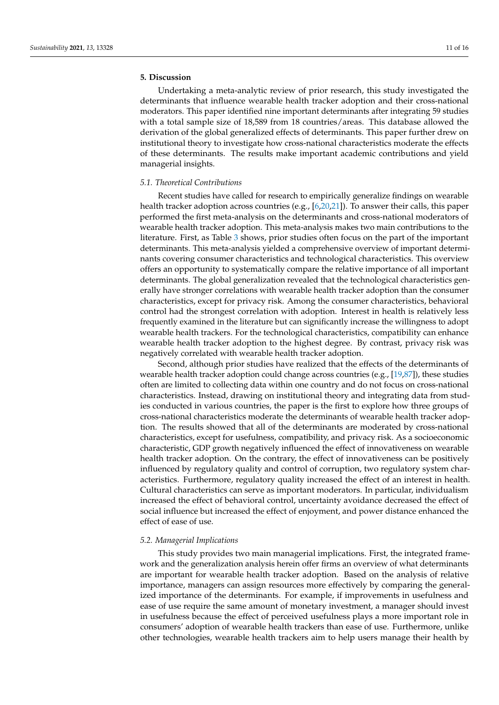# **5. Discussion**

Undertaking a meta-analytic review of prior research, this study investigated the determinants that influence wearable health tracker adoption and their cross-national moderators. This paper identified nine important determinants after integrating 59 studies with a total sample size of 18,589 from 18 countries/areas. This database allowed the derivation of the global generalized effects of determinants. This paper further drew on institutional theory to investigate how cross-national characteristics moderate the effects of these determinants. The results make important academic contributions and yield managerial insights.

#### *5.1. Theoretical Contributions*

Recent studies have called for research to empirically generalize findings on wearable health tracker adoption across countries (e.g., [\[6,](#page-12-5)[20,](#page-12-19)[21\]](#page-12-20)). To answer their calls, this paper performed the first meta-analysis on the determinants and cross-national moderators of wearable health tracker adoption. This meta-analysis makes two main contributions to the literature. First, as Table [3](#page-6-0) shows, prior studies often focus on the part of the important determinants. This meta-analysis yielded a comprehensive overview of important determinants covering consumer characteristics and technological characteristics. This overview offers an opportunity to systematically compare the relative importance of all important determinants. The global generalization revealed that the technological characteristics generally have stronger correlations with wearable health tracker adoption than the consumer characteristics, except for privacy risk. Among the consumer characteristics, behavioral control had the strongest correlation with adoption. Interest in health is relatively less frequently examined in the literature but can significantly increase the willingness to adopt wearable health trackers. For the technological characteristics, compatibility can enhance wearable health tracker adoption to the highest degree. By contrast, privacy risk was negatively correlated with wearable health tracker adoption.

Second, although prior studies have realized that the effects of the determinants of wearable health tracker adoption could change across countries (e.g.,  $[19,87]$  $[19,87]$ ), these studies often are limited to collecting data within one country and do not focus on cross-national characteristics. Instead, drawing on institutional theory and integrating data from studies conducted in various countries, the paper is the first to explore how three groups of cross-national characteristics moderate the determinants of wearable health tracker adoption. The results showed that all of the determinants are moderated by cross-national characteristics, except for usefulness, compatibility, and privacy risk. As a socioeconomic characteristic, GDP growth negatively influenced the effect of innovativeness on wearable health tracker adoption. On the contrary, the effect of innovativeness can be positively influenced by regulatory quality and control of corruption, two regulatory system characteristics. Furthermore, regulatory quality increased the effect of an interest in health. Cultural characteristics can serve as important moderators. In particular, individualism increased the effect of behavioral control, uncertainty avoidance decreased the effect of social influence but increased the effect of enjoyment, and power distance enhanced the effect of ease of use.

#### *5.2. Managerial Implications*

This study provides two main managerial implications. First, the integrated framework and the generalization analysis herein offer firms an overview of what determinants are important for wearable health tracker adoption. Based on the analysis of relative importance, managers can assign resources more effectively by comparing the generalized importance of the determinants. For example, if improvements in usefulness and ease of use require the same amount of monetary investment, a manager should invest in usefulness because the effect of perceived usefulness plays a more important role in consumers' adoption of wearable health trackers than ease of use. Furthermore, unlike other technologies, wearable health trackers aim to help users manage their health by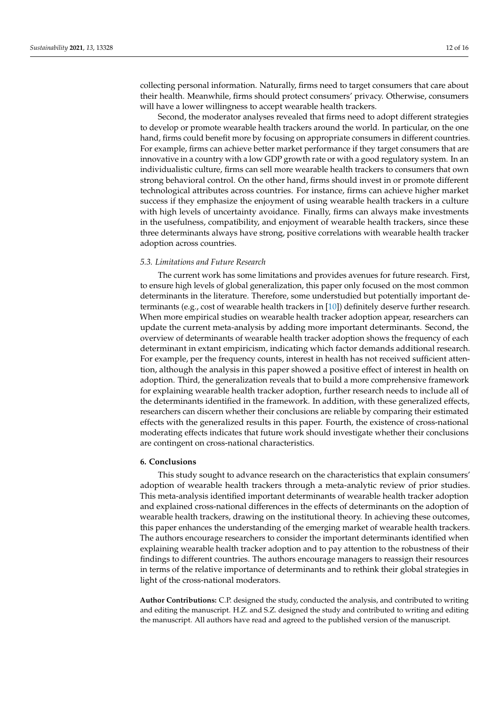collecting personal information. Naturally, firms need to target consumers that care about their health. Meanwhile, firms should protect consumers' privacy. Otherwise, consumers will have a lower willingness to accept wearable health trackers.

Second, the moderator analyses revealed that firms need to adopt different strategies to develop or promote wearable health trackers around the world. In particular, on the one hand, firms could benefit more by focusing on appropriate consumers in different countries. For example, firms can achieve better market performance if they target consumers that are innovative in a country with a low GDP growth rate or with a good regulatory system. In an individualistic culture, firms can sell more wearable health trackers to consumers that own strong behavioral control. On the other hand, firms should invest in or promote different technological attributes across countries. For instance, firms can achieve higher market success if they emphasize the enjoyment of using wearable health trackers in a culture with high levels of uncertainty avoidance. Finally, firms can always make investments in the usefulness, compatibility, and enjoyment of wearable health trackers, since these three determinants always have strong, positive correlations with wearable health tracker adoption across countries.

# *5.3. Limitations and Future Research*

The current work has some limitations and provides avenues for future research. First, to ensure high levels of global generalization, this paper only focused on the most common determinants in the literature. Therefore, some understudied but potentially important determinants (e.g., cost of wearable health trackers in [\[10\]](#page-12-9)) definitely deserve further research. When more empirical studies on wearable health tracker adoption appear, researchers can update the current meta-analysis by adding more important determinants. Second, the overview of determinants of wearable health tracker adoption shows the frequency of each determinant in extant empiricism, indicating which factor demands additional research. For example, per the frequency counts, interest in health has not received sufficient attention, although the analysis in this paper showed a positive effect of interest in health on adoption. Third, the generalization reveals that to build a more comprehensive framework for explaining wearable health tracker adoption, further research needs to include all of the determinants identified in the framework. In addition, with these generalized effects, researchers can discern whether their conclusions are reliable by comparing their estimated effects with the generalized results in this paper. Fourth, the existence of cross-national moderating effects indicates that future work should investigate whether their conclusions are contingent on cross-national characteristics.

#### **6. Conclusions**

This study sought to advance research on the characteristics that explain consumers' adoption of wearable health trackers through a meta-analytic review of prior studies. This meta-analysis identified important determinants of wearable health tracker adoption and explained cross-national differences in the effects of determinants on the adoption of wearable health trackers, drawing on the institutional theory. In achieving these outcomes, this paper enhances the understanding of the emerging market of wearable health trackers. The authors encourage researchers to consider the important determinants identified when explaining wearable health tracker adoption and to pay attention to the robustness of their findings to different countries. The authors encourage managers to reassign their resources in terms of the relative importance of determinants and to rethink their global strategies in light of the cross-national moderators.

**Author Contributions:** C.P. designed the study, conducted the analysis, and contributed to writing and editing the manuscript. H.Z. and S.Z. designed the study and contributed to writing and editing the manuscript. All authors have read and agreed to the published version of the manuscript.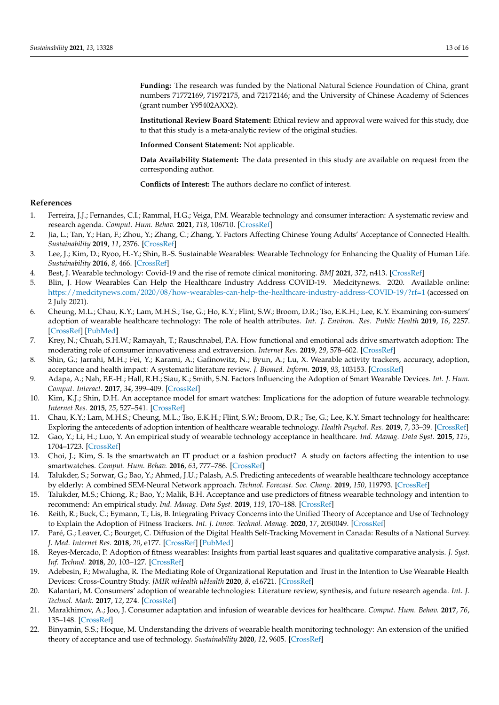**Funding:** The research was funded by the National Natural Science Foundation of China, grant numbers 71772169, 71972175, and 72172146; and the University of Chinese Academy of Sciences (grant number Y95402AXX2).

**Institutional Review Board Statement:** Ethical review and approval were waived for this study, due to that this study is a meta-analytic review of the original studies.

**Informed Consent Statement:** Not applicable.

**Data Availability Statement:** The data presented in this study are available on request from the corresponding author.

**Conflicts of Interest:** The authors declare no conflict of interest.

# **References**

- <span id="page-12-0"></span>1. Ferreira, J.J.; Fernandes, C.I.; Rammal, H.G.; Veiga, P.M. Wearable technology and consumer interaction: A systematic review and research agenda. *Comput. Hum. Behav.* **2021**, *118*, 106710. [\[CrossRef\]](http://doi.org/10.1016/j.chb.2021.106710)
- <span id="page-12-1"></span>2. Jia, L.; Tan, Y.; Han, F.; Zhou, Y.; Zhang, C.; Zhang, Y. Factors Affecting Chinese Young Adults' Acceptance of Connected Health. *Sustainability* **2019**, *11*, 2376. [\[CrossRef\]](http://doi.org/10.3390/su11082376)
- <span id="page-12-2"></span>3. Lee, J.; Kim, D.; Ryoo, H.-Y.; Shin, B.-S. Sustainable Wearables: Wearable Technology for Enhancing the Quality of Human Life. *Sustainability* **2016**, *8*, 466. [\[CrossRef\]](http://doi.org/10.3390/su8050466)
- <span id="page-12-3"></span>4. Best, J. Wearable technology: Covid-19 and the rise of remote clinical monitoring. *BMJ* **2021**, *372*, n413. [\[CrossRef\]](http://doi.org/10.1136/bmj.n413)
- <span id="page-12-4"></span>5. Blin, J. How Wearables Can Help the Healthcare Industry Address COVID-19. Medcitynews. 2020. Available online: <https://medcitynews.com/2020/08/how-wearables-can-help-the-healthcare-industry-address-COVID-19/?rf=1> (accessed on 2 July 2021).
- <span id="page-12-5"></span>6. Cheung, M.L.; Chau, K.Y.; Lam, M.H.S.; Tse, G.; Ho, K.Y.; Flint, S.W.; Broom, D.R.; Tso, E.K.H.; Lee, K.Y. Examining con-sumers' adoption of wearable healthcare technology: The role of health attributes. *Int. J. Environ. Res. Public Health* **2019**, *16*, 2257. [\[CrossRef\]](http://doi.org/10.3390/ijerph16132257) [\[PubMed\]](http://www.ncbi.nlm.nih.gov/pubmed/31247962)
- <span id="page-12-6"></span>7. Krey, N.; Chuah, S.H.W.; Ramayah, T.; Rauschnabel, P.A. How functional and emotional ads drive smartwatch adoption: The moderating role of consumer innovativeness and extraversion. *Internet Res.* **2019**, *29*, 578–602. [\[CrossRef\]](http://doi.org/10.1108/IntR-12-2017-0534)
- <span id="page-12-7"></span>8. Shin, G.; Jarrahi, M.H.; Fei, Y.; Karami, A.; Gafinowitz, N.; Byun, A.; Lu, X. Wearable activity trackers, accuracy, adoption, acceptance and health impact: A systematic literature review. *J. Biomed. Inform.* **2019**, *93*, 103153. [\[CrossRef\]](http://doi.org/10.1016/j.jbi.2019.103153)
- <span id="page-12-8"></span>9. Adapa, A.; Nah, F.F.-H.; Hall, R.H.; Siau, K.; Smith, S.N. Factors Influencing the Adoption of Smart Wearable Devices. *Int. J. Hum. Comput. Interact.* **2017**, *34*, 399–409. [\[CrossRef\]](http://doi.org/10.1080/10447318.2017.1357902)
- <span id="page-12-9"></span>10. Kim, K.J.; Shin, D.H. An acceptance model for smart watches: Implications for the adoption of future wearable technology. *Internet Res.* **2015**, *25*, 527–541. [\[CrossRef\]](http://doi.org/10.1108/IntR-05-2014-0126)
- <span id="page-12-10"></span>11. Chau, K.Y.; Lam, M.H.S.; Cheung, M.L.; Tso, E.K.H.; Flint, S.W.; Broom, D.R.; Tse, G.; Lee, K.Y. Smart technology for healthcare: Exploring the antecedents of adoption intention of healthcare wearable technology. *Health Psychol. Res.* **2019**, *7*, 33–39. [\[CrossRef\]](http://doi.org/10.4081/hpr.2019.8099)
- <span id="page-12-11"></span>12. Gao, Y.; Li, H.; Luo, Y. An empirical study of wearable technology acceptance in healthcare. *Ind. Manag. Data Syst.* **2015**, *115*, 1704–1723. [\[CrossRef\]](http://doi.org/10.1108/IMDS-03-2015-0087)
- <span id="page-12-12"></span>13. Choi, J.; Kim, S. Is the smartwatch an IT product or a fashion product? A study on factors affecting the intention to use smartwatches. *Comput. Hum. Behav.* **2016**, *63*, 777–786. [\[CrossRef\]](http://doi.org/10.1016/j.chb.2016.06.007)
- <span id="page-12-13"></span>14. Talukder, S.; Sorwar, G.; Bao, Y.; Ahmed, J.U.; Palash, A.S. Predicting antecedents of wearable healthcare technology acceptance by elderly: A combined SEM-Neural Network approach. *Technol. Forecast. Soc. Chang.* **2019**, *150*, 119793. [\[CrossRef\]](http://doi.org/10.1016/j.techfore.2019.119793)
- <span id="page-12-14"></span>15. Talukder, M.S.; Chiong, R.; Bao, Y.; Malik, B.H. Acceptance and use predictors of fitness wearable technology and intention to recommend: An empirical study. *Ind. Manag. Data Syst.* **2019**, *119*, 170–188. [\[CrossRef\]](http://doi.org/10.1108/IMDS-01-2018-0009)
- <span id="page-12-15"></span>16. Reith, R.; Buck, C.; Eymann, T.; Lis, B. Integrating Privacy Concerns into the Unified Theory of Acceptance and Use of Technology to Explain the Adoption of Fitness Trackers. *Int. J. Innov. Technol. Manag.* **2020**, *17*, 2050049. [\[CrossRef\]](http://doi.org/10.1142/S0219877020500492)
- <span id="page-12-16"></span>17. Paré, G.; Leaver, C.; Bourget, C. Diffusion of the Digital Health Self-Tracking Movement in Canada: Results of a National Survey. *J. Med. Internet Res.* **2018**, *20*, e177. [\[CrossRef\]](http://doi.org/10.2196/jmir.9388) [\[PubMed\]](http://www.ncbi.nlm.nih.gov/pubmed/29720359)
- <span id="page-12-17"></span>18. Reyes-Mercado, P. Adoption of fitness wearables: Insights from partial least squares and qualitative comparative analysis. *J. Syst. Inf. Technol.* **2018**, *20*, 103–127. [\[CrossRef\]](http://doi.org/10.1108/JSIT-04-2017-0025)
- <span id="page-12-18"></span>19. Adebesin, F.; Mwalugha, R. The Mediating Role of Organizational Reputation and Trust in the Intention to Use Wearable Health Devices: Cross-Country Study. *JMIR mHealth uHealth* **2020**, *8*, e16721. [\[CrossRef\]](http://doi.org/10.2196/16721)
- <span id="page-12-19"></span>20. Kalantari, M. Consumers' adoption of wearable technologies: Literature review, synthesis, and future research agenda. *Int. J. Technol. Mark.* **2017**, *12*, 274. [\[CrossRef\]](http://doi.org/10.1504/IJTMKT.2017.089665)
- <span id="page-12-20"></span>21. Marakhimov, A.; Joo, J. Consumer adaptation and infusion of wearable devices for healthcare. *Comput. Hum. Behav.* **2017**, *76*, 135–148. [\[CrossRef\]](http://doi.org/10.1016/j.chb.2017.07.016)
- <span id="page-12-21"></span>22. Binyamin, S.S.; Hoque, M. Understanding the drivers of wearable health monitoring technology: An extension of the unified theory of acceptance and use of technology. *Sustainability* **2020**, *12*, 9605. [\[CrossRef\]](http://doi.org/10.3390/su12229605)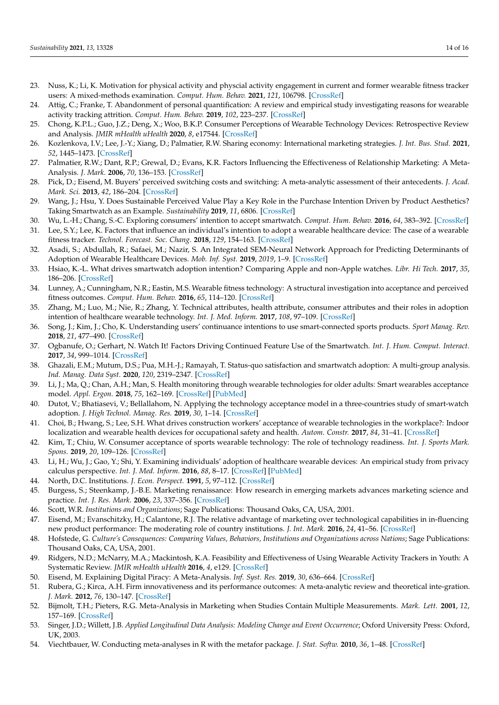- <span id="page-13-0"></span>23. Nuss, K.; Li, K. Motivation for physical activity and physcial activity engagement in current and former wearable fitness tracker users: A mixed-methods examination. *Comput. Hum. Behav.* **2021**, *121*, 106798. [\[CrossRef\]](http://doi.org/10.1016/j.chb.2021.106798)
- <span id="page-13-1"></span>24. Attig, C.; Franke, T. Abandonment of personal quantification: A review and empirical study investigating reasons for wearable activity tracking attrition. *Comput. Hum. Behav.* **2019**, *102*, 223–237. [\[CrossRef\]](http://doi.org/10.1016/j.chb.2019.08.025)
- <span id="page-13-2"></span>25. Chong, K.P.L.; Guo, J.Z.; Deng, X.; Woo, B.K.P. Consumer Perceptions of Wearable Technology Devices: Retrospective Review and Analysis. *JMIR mHealth uHealth* **2020**, *8*, e17544. [\[CrossRef\]](http://doi.org/10.2196/17544)
- <span id="page-13-3"></span>26. Kozlenkova, I.V.; Lee, J.-Y.; Xiang, D.; Palmatier, R.W. Sharing economy: International marketing strategies. *J. Int. Bus. Stud.* **2021**, *52*, 1445–1473. [\[CrossRef\]](http://doi.org/10.1057/s41267-020-00393-z)
- <span id="page-13-5"></span>27. Palmatier, R.W.; Dant, R.P.; Grewal, D.; Evans, K.R. Factors Influencing the Effectiveness of Relationship Marketing: A Meta-Analysis. *J. Mark.* **2006**, *70*, 136–153. [\[CrossRef\]](http://doi.org/10.1509/jmkg.70.4.136)
- <span id="page-13-4"></span>28. Pick, D.; Eisend, M. Buyers' perceived switching costs and switching: A meta-analytic assessment of their antecedents. *J. Acad. Mark. Sci.* **2013**, *42*, 186–204. [\[CrossRef\]](http://doi.org/10.1007/s11747-013-0349-2)
- <span id="page-13-6"></span>29. Wang, J.; Hsu, Y. Does Sustainable Perceived Value Play a Key Role in the Purchase Intention Driven by Product Aesthetics? Taking Smartwatch as an Example. *Sustainability* **2019**, *11*, 6806. [\[CrossRef\]](http://doi.org/10.3390/su11236806)
- <span id="page-13-7"></span>30. Wu, L.-H.; Chang, S.-C. Exploring consumers' intention to accept smartwatch. *Comput. Hum. Behav.* **2016**, *64*, 383–392. [\[CrossRef\]](http://doi.org/10.1016/j.chb.2016.07.005)
- <span id="page-13-8"></span>31. Lee, S.Y.; Lee, K. Factors that influence an individual's intention to adopt a wearable healthcare device: The case of a wearable fitness tracker. *Technol. Forecast. Soc. Chang.* **2018**, *129*, 154–163. [\[CrossRef\]](http://doi.org/10.1016/j.techfore.2018.01.002)
- <span id="page-13-9"></span>32. Asadi, S.; Abdullah, R.; Safaei, M.; Nazir, S. An Integrated SEM-Neural Network Approach for Predicting Determinants of Adoption of Wearable Healthcare Devices. *Mob. Inf. Syst.* **2019**, *2019*, 1–9. [\[CrossRef\]](http://doi.org/10.1155/2019/8026042)
- <span id="page-13-10"></span>33. Hsiao, K.-L. What drives smartwatch adoption intention? Comparing Apple and non-Apple watches. *Libr. Hi Tech.* **2017**, *35*, 186–206. [\[CrossRef\]](http://doi.org/10.1108/LHT-09-2016-0105)
- <span id="page-13-11"></span>34. Lunney, A.; Cunningham, N.R.; Eastin, M.S. Wearable fitness technology: A structural investigation into acceptance and perceived fitness outcomes. *Comput. Hum. Behav.* **2016**, *65*, 114–120. [\[CrossRef\]](http://doi.org/10.1016/j.chb.2016.08.007)
- <span id="page-13-12"></span>35. Zhang, M.; Luo, M.; Nie, R.; Zhang, Y. Technical attributes, health attribute, consumer attributes and their roles in adoption intention of healthcare wearable technology. *Int. J. Med. Inform.* **2017**, *108*, 97–109. [\[CrossRef\]](http://doi.org/10.1016/j.ijmedinf.2017.09.016)
- <span id="page-13-13"></span>36. Song, J.; Kim, J.; Cho, K. Understanding users' continuance intentions to use smart-connected sports products. *Sport Manag. Rev.* **2018**, *21*, 477–490. [\[CrossRef\]](http://doi.org/10.1016/j.smr.2017.10.004)
- <span id="page-13-14"></span>37. Ogbanufe, O.; Gerhart, N. Watch It! Factors Driving Continued Feature Use of the Smartwatch. *Int. J. Hum. Comput. Interact.* **2017**, *34*, 999–1014. [\[CrossRef\]](http://doi.org/10.1080/10447318.2017.1404779)
- <span id="page-13-15"></span>38. Ghazali, E.M.; Mutum, D.S.; Pua, M.H.-J.; Ramayah, T. Status-quo satisfaction and smartwatch adoption: A multi-group analysis. *Ind. Manag. Data Syst.* **2020**, *120*, 2319–2347. [\[CrossRef\]](http://doi.org/10.1108/IMDS-10-2019-0576)
- <span id="page-13-16"></span>39. Li, J.; Ma, Q.; Chan, A.H.; Man, S. Health monitoring through wearable technologies for older adults: Smart wearables acceptance model. *Appl. Ergon.* **2018**, *75*, 162–169. [\[CrossRef\]](http://doi.org/10.1016/j.apergo.2018.10.006) [\[PubMed\]](http://www.ncbi.nlm.nih.gov/pubmed/30509522)
- <span id="page-13-17"></span>40. Dutot, V.; Bhatiasevi, V.; Bellallahom, N. Applying the technology acceptance model in a three-countries study of smart-watch adoption. *J. High Technol. Manag. Res.* **2019**, *30*, 1–14. [\[CrossRef\]](http://doi.org/10.1016/j.hitech.2019.02.001)
- <span id="page-13-18"></span>41. Choi, B.; Hwang, S.; Lee, S.H. What drives construction workers' acceptance of wearable technologies in the workplace?: Indoor localization and wearable health devices for occupational safety and health. *Autom. Constr.* **2017**, *84*, 31–41. [\[CrossRef\]](http://doi.org/10.1016/j.autcon.2017.08.005)
- <span id="page-13-19"></span>42. Kim, T.; Chiu, W. Consumer acceptance of sports wearable technology: The role of technology readiness. *Int. J. Sports Mark. Spons.* **2019**, *20*, 109–126. [\[CrossRef\]](http://doi.org/10.1108/IJSMS-06-2017-0050)
- <span id="page-13-20"></span>43. Li, H.; Wu, J.; Gao, Y.; Shi, Y. Examining individuals' adoption of healthcare wearable devices: An empirical study from privacy calculus perspective. *Int. J. Med. Inform.* **2016**, *88*, 8–17. [\[CrossRef\]](http://doi.org/10.1016/j.ijmedinf.2015.12.010) [\[PubMed\]](http://www.ncbi.nlm.nih.gov/pubmed/26878757)
- <span id="page-13-21"></span>44. North, D.C. Institutions. *J. Econ. Perspect.* **1991**, *5*, 97–112. [\[CrossRef\]](http://doi.org/10.1257/jep.5.1.97)
- <span id="page-13-22"></span>45. Burgess, S.; Steenkamp, J.-B.E. Marketing renaissance: How research in emerging markets advances marketing science and practice. *Int. J. Res. Mark.* **2006**, *23*, 337–356. [\[CrossRef\]](http://doi.org/10.1016/j.ijresmar.2006.08.001)
- <span id="page-13-23"></span>46. Scott, W.R. *Institutions and Organizations*; Sage Publications: Thousand Oaks, CA, USA, 2001.
- <span id="page-13-24"></span>47. Eisend, M.; Evanschitzky, H.; Calantone, R.J. The relative advantage of marketing over technological capabilities in in-fluencing new product performance: The moderating role of country institutions. *J. Int. Mark.* **2016**, *24*, 41–56. [\[CrossRef\]](http://doi.org/10.1509/jim.15.0068)
- <span id="page-13-25"></span>48. Hofstede, G. *Culture's Consequences: Comparing Values, Behaviors, Institutions and Organizations across Nations*; Sage Publications: Thousand Oaks, CA, USA, 2001.
- <span id="page-13-26"></span>49. Ridgers, N.D.; McNarry, M.A.; Mackintosh, K.A. Feasibility and Effectiveness of Using Wearable Activity Trackers in Youth: A Systematic Review. *JMIR mHealth uHealth* **2016**, *4*, e129. [\[CrossRef\]](http://doi.org/10.2196/mhealth.6540)
- <span id="page-13-27"></span>50. Eisend, M. Explaining Digital Piracy: A Meta-Analysis. *Inf. Syst. Res.* **2019**, *30*, 636–664. [\[CrossRef\]](http://doi.org/10.1287/isre.2018.0821)
- <span id="page-13-28"></span>51. Rubera, G.; Kirca, A.H. Firm innovativeness and its performance outcomes: A meta-analytic review and theoretical inte-gration. *J. Mark.* **2012**, *76*, 130–147. [\[CrossRef\]](http://doi.org/10.1509/jm.10.0494)
- <span id="page-13-29"></span>52. Bijmolt, T.H.; Pieters, R.G. Meta-Analysis in Marketing when Studies Contain Multiple Measurements. *Mark. Lett.* **2001**, *12*, 157–169. [\[CrossRef\]](http://doi.org/10.1023/A:1011117103381)
- <span id="page-13-30"></span>53. Singer, J.D.; Willett, J.B. *Applied Longitudinal Data Analysis: Modeling Change and Event Occurrence*; Oxford University Press: Oxford, UK, 2003.
- <span id="page-13-31"></span>54. Viechtbauer, W. Conducting meta-analyses in R with the metafor package. *J. Stat. Softw.* **2010**, *36*, 1–48. [\[CrossRef\]](http://doi.org/10.18637/jss.v036.i03)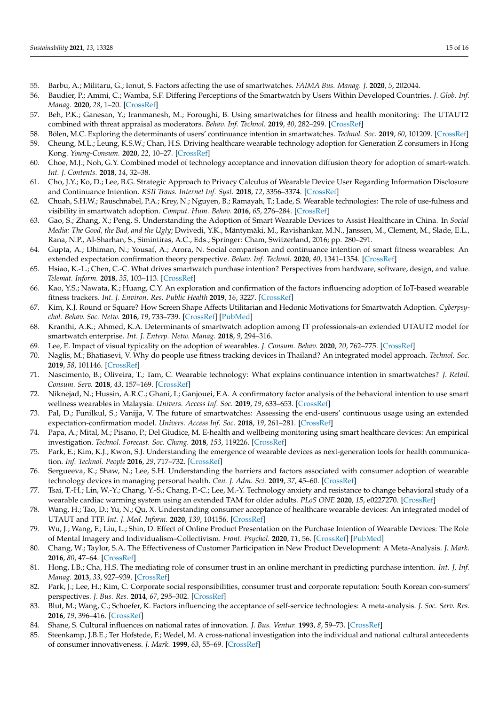- <span id="page-14-0"></span>55. Barbu, A.; Militaru, G.; Ionut, S. Factors affecting the use of smartwatches. *FAIMA Bus. Manag. J.* **2020**, *5*, 202044.
- <span id="page-14-1"></span>56. Baudier, P.; Ammi, C.; Wamba, S.F. Differing Perceptions of the Smartwatch by Users Within Developed Countries. *J. Glob. Inf. Manag.* **2020**, *28*, 1–20. [\[CrossRef\]](http://doi.org/10.4018/JGIM.2020100101)
- <span id="page-14-2"></span>57. Beh, P.K.; Ganesan, Y.; Iranmanesh, M.; Foroughi, B. Using smartwatches for fitness and health monitoring: The UTAUT2 combined with threat appraisal as moderators. *Behav. Inf. Technol.* **2019**, *40*, 282–299. [\[CrossRef\]](http://doi.org/10.1080/0144929X.2019.1685597)
- <span id="page-14-3"></span>58. Bölen, M.C. Exploring the determinants of users' continuance intention in smartwatches. *Technol. Soc.* **2019**, *60*, 101209. [\[CrossRef\]](http://doi.org/10.1016/j.techsoc.2019.101209)
- <span id="page-14-4"></span>59. Cheung, M.L.; Leung, K.S.W.; Chan, H.S. Driving healthcare wearable technology adoption for Generation Z consumers in Hong Kong. *Young-Consum.* **2020**, *22*, 10–27. [\[CrossRef\]](http://doi.org/10.1108/YC-04-2020-1123)
- <span id="page-14-5"></span>60. Choe, M.J.; Noh, G.Y. Combined model of technology acceptance and innovation diffusion theory for adoption of smart-watch. *Int. J. Contents.* **2018**, *14*, 32–38.
- <span id="page-14-6"></span>61. Cho, J.Y.; Ko, D.; Lee, B.G. Strategic Approach to Privacy Calculus of Wearable Device User Regarding Information Disclosure and Continuance Intention. *KSII Trans. Internet Inf. Syst.* **2018**, *12*, 3356–3374. [\[CrossRef\]](http://doi.org/10.3837/tiis.2018.07.020)
- <span id="page-14-7"></span>62. Chuah, S.H.W.; Rauschnabel, P.A.; Krey, N.; Nguyen, B.; Ramayah, T.; Lade, S. Wearable technologies: The role of use-fulness and visibility in smartwatch adoption. *Comput. Hum. Behav.* **2016**, *65*, 276–284. [\[CrossRef\]](http://doi.org/10.1016/j.chb.2016.07.047)
- <span id="page-14-8"></span>63. Gao, S.; Zhang, X.; Peng, S. Understanding the Adoption of Smart Wearable Devices to Assist Healthcare in China. In *Social Media: The Good, the Bad, and the Ugly*; Dwivedi, Y.K., Mäntymäki, M., Ravishankar, M.N., Janssen, M., Clement, M., Slade, E.L., Rana, N.P., Al-Sharhan, S., Simintiras, A.C., Eds.; Springer: Cham, Switzerland, 2016; pp. 280–291.
- <span id="page-14-9"></span>64. Gupta, A.; Dhiman, N.; Yousaf, A.; Arora, N. Social comparison and continuance intention of smart fitness wearables: An extended expectation confirmation theory perspective. *Behav. Inf. Technol.* **2020**, *40*, 1341–1354. [\[CrossRef\]](http://doi.org/10.1080/0144929X.2020.1748715)
- <span id="page-14-10"></span>65. Hsiao, K.-L.; Chen, C.-C. What drives smartwatch purchase intention? Perspectives from hardware, software, design, and value. *Telemat. Inform.* **2018**, *35*, 103–113. [\[CrossRef\]](http://doi.org/10.1016/j.tele.2017.10.002)
- <span id="page-14-11"></span>66. Kao, Y.S.; Nawata, K.; Huang, C.Y. An exploration and confirmation of the factors influencing adoption of IoT-based wearable fitness trackers. *Int. J. Environ. Res. Public Health* **2019**, *16*, 3227. [\[CrossRef\]](http://doi.org/10.3390/ijerph16183227)
- <span id="page-14-12"></span>67. Kim, K.J. Round or Square? How Screen Shape Affects Utilitarian and Hedonic Motivations for Smartwatch Adoption. *Cyberpsychol. Behav. Soc. Netw.* **2016**, *19*, 733–739. [\[CrossRef\]](http://doi.org/10.1089/cyber.2016.0136) [\[PubMed\]](http://www.ncbi.nlm.nih.gov/pubmed/27849356)
- <span id="page-14-13"></span>68. Kranthi, A.K.; Ahmed, K.A. Determinants of smartwatch adoption among IT professionals-an extended UTAUT2 model for smartwatch enterprise. *Int. J. Enterp. Netw. Manag.* **2018**, *9*, 294–316.
- <span id="page-14-14"></span>69. Lee, E. Impact of visual typicality on the adoption of wearables. *J. Consum. Behav.* **2020**, *20*, 762–775. [\[CrossRef\]](http://doi.org/10.1002/cb.1904)
- <span id="page-14-15"></span>70. Naglis, M.; Bhatiasevi, V. Why do people use fitness tracking devices in Thailand? An integrated model approach. *Technol. Soc.* **2019**, *58*, 101146. [\[CrossRef\]](http://doi.org/10.1016/j.techsoc.2019.101146)
- <span id="page-14-16"></span>71. Nascimento, B.; Oliveira, T.; Tam, C. Wearable technology: What explains continuance intention in smartwatches? *J. Retail. Consum. Serv.* **2018**, *43*, 157–169. [\[CrossRef\]](http://doi.org/10.1016/j.jretconser.2018.03.017)
- <span id="page-14-17"></span>72. Niknejad, N.; Hussin, A.R.C.; Ghani, I.; Ganjouei, F.A. A confirmatory factor analysis of the behavioral intention to use smart wellness wearables in Malaysia. *Univers. Access Inf. Soc.* **2019**, *19*, 633–653. [\[CrossRef\]](http://doi.org/10.1007/s10209-019-00663-0)
- <span id="page-14-18"></span>73. Pal, D.; Funilkul, S.; Vanijja, V. The future of smartwatches: Assessing the end-users' continuous usage using an extended expectation-confirmation model. *Univers. Access Inf. Soc.* **2018**, *19*, 261–281. [\[CrossRef\]](http://doi.org/10.1007/s10209-018-0639-z)
- <span id="page-14-19"></span>74. Papa, A.; Mital, M.; Pisano, P.; Del Giudice, M. E-health and wellbeing monitoring using smart healthcare devices: An empirical investigation. *Technol. Forecast. Soc. Chang.* **2018**, *153*, 119226. [\[CrossRef\]](http://doi.org/10.1016/j.techfore.2018.02.018)
- <span id="page-14-20"></span>75. Park, E.; Kim, K.J.; Kwon, S.J. Understanding the emergence of wearable devices as next-generation tools for health communication. *Inf. Technol. People* **2016**, *29*, 717–732. [\[CrossRef\]](http://doi.org/10.1108/ITP-04-2015-0096)
- <span id="page-14-21"></span>76. Sergueeva, K.; Shaw, N.; Lee, S.H. Understanding the barriers and factors associated with consumer adoption of wearable technology devices in managing personal health. *Can. J. Adm. Sci.* **2019**, *37*, 45–60. [\[CrossRef\]](http://doi.org/10.1002/cjas.1547)
- <span id="page-14-22"></span>77. Tsai, T.-H.; Lin, W.-Y.; Chang, Y.-S.; Chang, P.-C.; Lee, M.-Y. Technology anxiety and resistance to change behavioral study of a wearable cardiac warming system using an extended TAM for older adults. *PLoS ONE* **2020**, *15*, e0227270. [\[CrossRef\]](http://doi.org/10.1371/journal.pone.0227270)
- <span id="page-14-23"></span>78. Wang, H.; Tao, D.; Yu, N.; Qu, X. Understanding consumer acceptance of healthcare wearable devices: An integrated model of UTAUT and TTF. *Int. J. Med. Inform.* **2020**, *139*, 104156. [\[CrossRef\]](http://doi.org/10.1016/j.ijmedinf.2020.104156)
- <span id="page-14-24"></span>79. Wu, J.; Wang, F.; Liu, L.; Shin, D. Effect of Online Product Presentation on the Purchase Intention of Wearable Devices: The Role of Mental Imagery and Individualism–Collectivism. *Front. Psychol.* **2020**, *11*, 56. [\[CrossRef\]](http://doi.org/10.3389/fpsyg.2020.00056) [\[PubMed\]](http://www.ncbi.nlm.nih.gov/pubmed/32153447)
- <span id="page-14-25"></span>80. Chang, W.; Taylor, S.A. The Effectiveness of Customer Participation in New Product Development: A Meta-Analysis. *J. Mark.* **2016**, *80*, 47–64. [\[CrossRef\]](http://doi.org/10.1509/jm.14.0057)
- <span id="page-14-26"></span>81. Hong, I.B.; Cha, H.S. The mediating role of consumer trust in an online merchant in predicting purchase intention. *Int. J. Inf. Manag.* **2013**, *33*, 927–939. [\[CrossRef\]](http://doi.org/10.1016/j.ijinfomgt.2013.08.007)
- <span id="page-14-27"></span>82. Park, J.; Lee, H.; Kim, C. Corporate social responsibilities, consumer trust and corporate reputation: South Korean con-sumers' perspectives. *J. Bus. Res.* **2014**, *67*, 295–302. [\[CrossRef\]](http://doi.org/10.1016/j.jbusres.2013.05.016)
- <span id="page-14-28"></span>83. Blut, M.; Wang, C.; Schoefer, K. Factors influencing the acceptance of self-service technologies: A meta-analysis. *J. Soc. Serv. Res.* **2016**, *19*, 396–416. [\[CrossRef\]](http://doi.org/10.1177/1094670516662352)
- <span id="page-14-29"></span>84. Shane, S. Cultural influences on national rates of innovation. *J. Bus. Ventur.* **1993**, *8*, 59–73. [\[CrossRef\]](http://doi.org/10.1016/0883-9026(93)90011-S)
- <span id="page-14-30"></span>85. Steenkamp, J.B.E.; Ter Hofstede, F.; Wedel, M. A cross-national investigation into the individual and national cultural antecedents of consumer innovativeness. *J. Mark.* **1999**, *63*, 55–69. [\[CrossRef\]](http://doi.org/10.1177/002224299906300204)